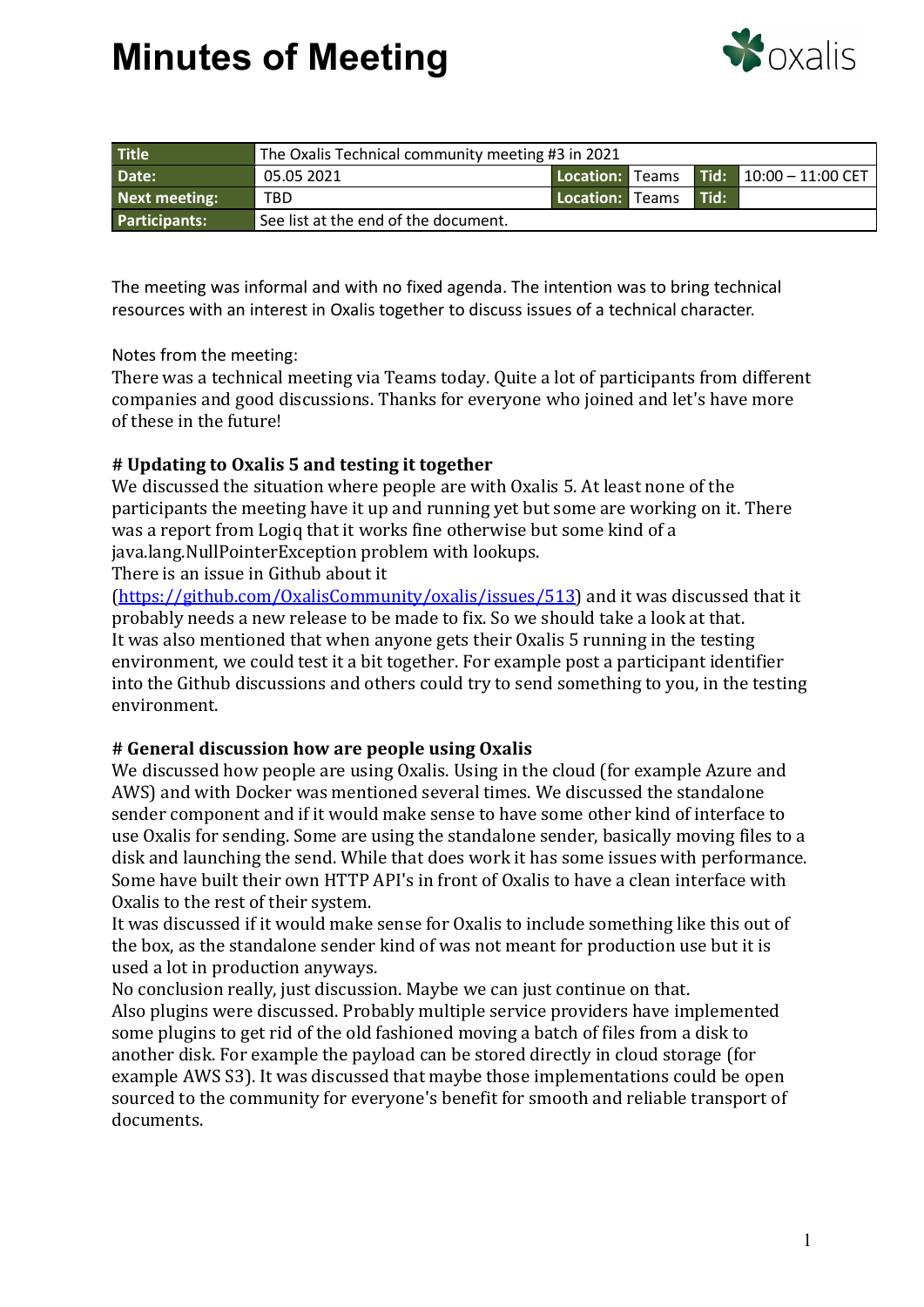## Minutes of Meeting



| <b>Title</b>         | The Oxalis Technical community meeting #3 in 2021 |                 |  |        |                                        |
|----------------------|---------------------------------------------------|-----------------|--|--------|----------------------------------------|
| Date:                | 05.05 2021                                        |                 |  |        | Location: Teams Tid: 10:00 - 11:00 CET |
| Next meeting:        | TBD                                               | Location: Teams |  | l Tid: |                                        |
| <b>Participants:</b> | See list at the end of the document.              |                 |  |        |                                        |

The meeting was informal and with no fixed agenda. The intention was to bring technical resources with an interest in Oxalis together to discuss issues of a technical character.

### Notes from the meeting:

There was a technical meeting via Teams today. Quite a lot of participants from different companies and good discussions. Thanks for everyone who joined and let's have more of these in the future!

### # Updating to Oxalis 5 and testing it together

We discussed the situation where people are with Oxalis 5. At least none of the participants the meeting have it up and running yet but some are working on it. There was a report from Logiq that it works fine otherwise but some kind of a java.lang.NullPointerException problem with lookups.

There is an issue in Github about it

(https://github.com/OxalisCommunity/oxalis/issues/513) and it was discussed that it probably needs a new release to be made to fix. So we should take a look at that. It was also mentioned that when anyone gets their Oxalis 5 running in the testing environment, we could test it a bit together. For example post a participant identifier into the Github discussions and others could try to send something to you, in the testing environment.

#### # General discussion how are people using Oxalis

We discussed how people are using Oxalis. Using in the cloud (for example Azure and AWS) and with Docker was mentioned several times. We discussed the standalone sender component and if it would make sense to have some other kind of interface to use Oxalis for sending. Some are using the standalone sender, basically moving files to a disk and launching the send. While that does work it has some issues with performance. Some have built their own HTTP API's in front of Oxalis to have a clean interface with Oxalis to the rest of their system.

It was discussed if it would make sense for Oxalis to include something like this out of the box, as the standalone sender kind of was not meant for production use but it is used a lot in production anyways.

No conclusion really, just discussion. Maybe we can just continue on that. Also plugins were discussed. Probably multiple service providers have implemented some plugins to get rid of the old fashioned moving a batch of files from a disk to another disk. For example the payload can be stored directly in cloud storage (for example AWS S3). It was discussed that maybe those implementations could be open sourced to the community for everyone's benefit for smooth and reliable transport of documents.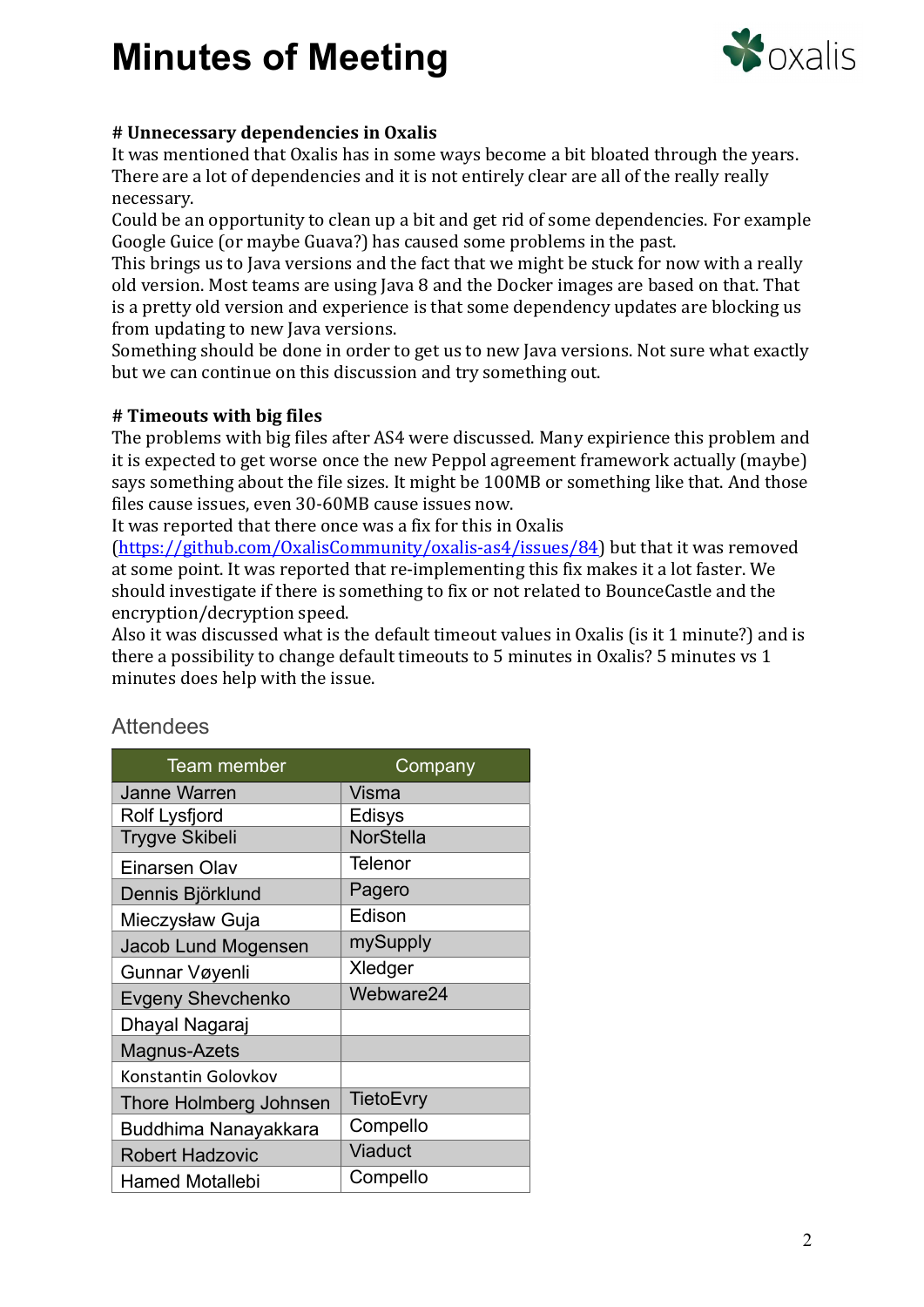# Minutes of Meeting



### # Unnecessary dependencies in Oxalis

It was mentioned that Oxalis has in some ways become a bit bloated through the years. There are a lot of dependencies and it is not entirely clear are all of the really really necessary.

Could be an opportunity to clean up a bit and get rid of some dependencies. For example Google Guice (or maybe Guava?) has caused some problems in the past.

This brings us to Java versions and the fact that we might be stuck for now with a really old version. Most teams are using Java 8 and the Docker images are based on that. That is a pretty old version and experience is that some dependency updates are blocking us from updating to new Java versions.

Something should be done in order to get us to new Java versions. Not sure what exactly but we can continue on this discussion and try something out.

### # Timeouts with big files

The problems with big files after AS4 were discussed. Many expirience this problem and it is expected to get worse once the new Peppol agreement framework actually (maybe) says something about the file sizes. It might be 100MB or something like that. And those files cause issues, even 30-60MB cause issues now.

It was reported that there once was a fix for this in Oxalis

(https://github.com/OxalisCommunity/oxalis-as4/issues/84) but that it was removed at some point. It was reported that re-implementing this fix makes it a lot faster. We should investigate if there is something to fix or not related to BounceCastle and the encryption/decryption speed.

Also it was discussed what is the default timeout values in Oxalis (is it 1 minute?) and is there a possibility to change default timeouts to 5 minutes in Oxalis? 5 minutes vs 1 minutes does help with the issue.

| <b>Team member</b>       | Company          |  |  |  |
|--------------------------|------------------|--|--|--|
| <b>Janne Warren</b>      | Visma            |  |  |  |
| <b>Rolf Lysfjord</b>     | Edisys           |  |  |  |
| <b>Trygve Skibeli</b>    | <b>NorStella</b> |  |  |  |
| Einarsen Olav            | Telenor          |  |  |  |
| Dennis Björklund         | Pagero           |  |  |  |
| Mieczysław Guja          | Edison           |  |  |  |
| Jacob Lund Mogensen      | mySupply         |  |  |  |
| Gunnar Vøyenli           | Xledger          |  |  |  |
| <b>Evgeny Shevchenko</b> | Webware24        |  |  |  |
| Dhayal Nagaraj           |                  |  |  |  |
| Magnus-Azets             |                  |  |  |  |
| Konstantin Golovkov      |                  |  |  |  |
| Thore Holmberg Johnsen   | <b>TietoEvry</b> |  |  |  |
| Buddhima Nanayakkara     | Compello         |  |  |  |
| <b>Robert Hadzovic</b>   | Viaduct          |  |  |  |
| <b>Hamed Motallebi</b>   | Compello         |  |  |  |

### **Attendees**